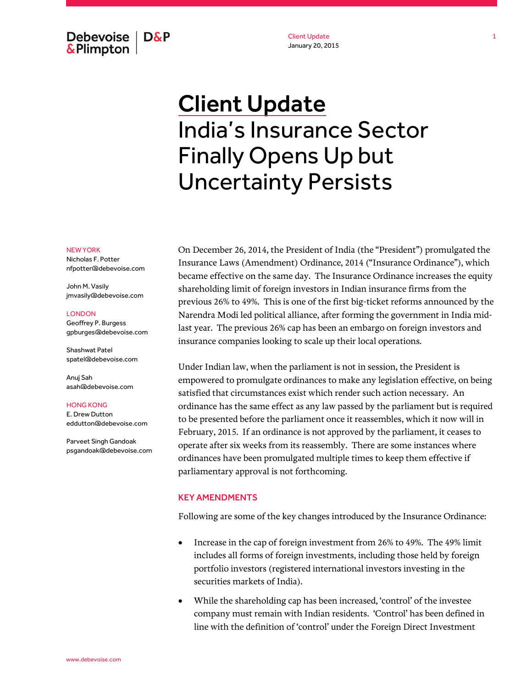Debevoise  $\overline{ }$  D&P **&Plimpton** 

Client Update January 20, 2015

# Client Update India's Insurance Sector Finally Opens Up but Uncertainty Persists

On December 26, 2014, the President of India (the "President") promulgated the Insurance Laws (Amendment) Ordinance, 2014 ("Insurance Ordinance"), which became effective on the same day. The Insurance Ordinance increases the equity shareholding limit of foreign investors in Indian insurance firms from the previous 26% to 49%. This is one of the first big-ticket reforms announced by the Narendra Modi led political alliance, after forming the government in India midlast year. The previous 26% cap has been an embargo on foreign investors and insurance companies looking to scale up their local operations.

Under Indian law, when the parliament is not in session, the President is empowered to promulgate ordinances to make any legislation effective, on being satisfied that circumstances exist which render such action necessary. An ordinance has the same effect as any law passed by the parliament but is required to be presented before the parliament once it reassembles, which it now will in February, 2015. If an ordinance is not approved by the parliament, it ceases to operate after six weeks from its reassembly. There are some instances where ordinances have been promulgated multiple times to keep them effective if parliamentary approval is not forthcoming.

## KEY AMENDMENTS

Following are some of the key changes introduced by the Insurance Ordinance:

- Increase in the cap of foreign investment from 26% to 49%. The 49% limit includes all forms of foreign investments, including those held by foreign portfolio investors (registered international investors investing in the securities markets of India).
- While the shareholding cap has been increased, 'control' of the investee company must remain with Indian residents. 'Control' has been defined in line with the definition of 'control' under the Foreign Direct Investment

#### NEW YORK

Nicholas F. Potter nfpotter@debevoise.com

John M. Vasily jmvasily@debevoise.com

### LONDON

Geoffrey P. Burgess gpburges@debevoise.com

Shashwat Patel spatel@debevoise.com

Anuj Sah asah@debevoise.com

HONG KONG E. Drew Dutton eddutton@debevoise.com

Parveet Singh Gandoak psgandoak@debevoise.com 1